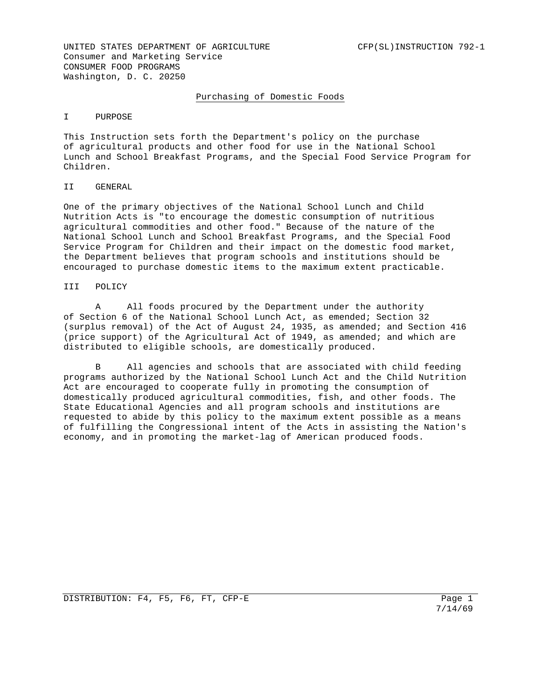# Purchasing of Domestic Foods

#### I PURPOSE

This Instruction sets forth the Department's policy on the purchase of agricultural products and other food for use in the National School Lunch and School Breakfast Programs, and the Special Food Service Program for Children.

#### II GENERAL

One of the primary objectives of the National School Lunch and Child Nutrition Acts is "to encourage the domestic consumption of nutritious agricultural commodities and other food." Because of the nature of the National School Lunch and School Breakfast Programs, and the Special Food Service Program for Children and their impact on the domestic food market, the Department believes that program schools and institutions should be encouraged to purchase domestic items to the maximum extent practicable.

### III POLICY

 A All foods procured by the Department under the authority of Section 6 of the National School Lunch Act, as emended; Section 32 (surplus removal) of the Act of August 24, 1935, as amended; and Section 416 (price support) of the Agricultural Act of 1949, as amended; and which are distributed to eligible schools, are domestically produced.

B All agencies and schools that are associated with child feeding programs authorized by the National School Lunch Act and the Child Nutrition Act are encouraged to cooperate fully in promoting the consumption of domestically produced agricultural commodities, fish, and other foods. The State Educational Agencies and all program schools and institutions are requested to abide by this policy to the maximum extent possible as a means of fulfilling the Congressional intent of the Acts in assisting the Nation's economy, and in promoting the market-lag of American produced foods.